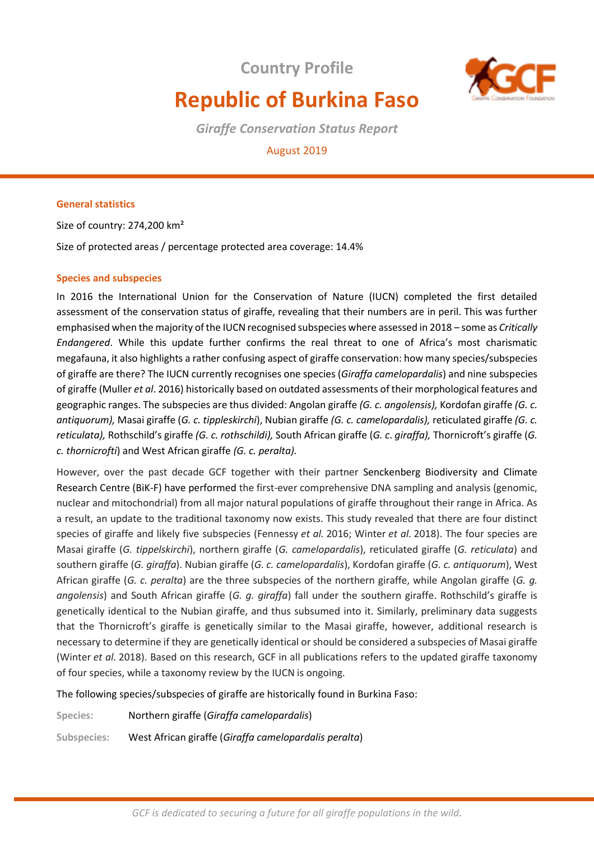**Country Profile** 



# **Republic of Burkina Faso**

*Giraffe Conservation Status Report* 

# August 2019

## **General statistics**

Size of country: 274,200 km² Size of protected areas / percentage protected area coverage: 14.4%

## **Species and subspecies**

In 2016 the International Union for the Conservation of Nature (IUCN) completed the first detailed assessment of the conservation status of giraffe, revealing that their numbers are in peril. This was further emphasised when the majority of the IUCN recognised subspecies where assessed in 2018 – some as *Critically Endangered*. While this update further confirms the real threat to one of Africa's most charismatic megafauna, it also highlights a rather confusing aspect of giraffe conservation: how many species/subspecies of giraffe are there? The IUCN currently recognises one species (*Giraffa camelopardalis*) and nine subspecies of giraffe (Muller *et al*. 2016) historically based on outdated assessments of their morphological features and geographic ranges. The subspecies are thus divided: Angolan giraffe *(G. c. angolensis),* Kordofan giraffe *(G. c. antiquorum),* Masai giraffe (*G. c. tippleskirchi*), Nubian giraffe *(G. c. camelopardalis),* reticulated giraffe *(G. c. reticulata),* Rothschild's giraffe *(G. c. rothschildi),* South African giraffe (*G. c*. *giraffa),* Thornicroft's giraffe (*G. c. thornicrofti*) and West African giraffe *(G. c. peralta).* 

However, over the past decade GCF together with their partner Senckenberg Biodiversity and Climate Research Centre (BiK-F) have performed the first-ever comprehensive DNA sampling and analysis (genomic, nuclear and mitochondrial) from all major natural populations of giraffe throughout their range in Africa. As a result, an update to the traditional taxonomy now exists. This study revealed that there are four distinct species of giraffe and likely five subspecies (Fennessy *et al.* 2016; Winter *et al.* 2018). The four species are Masai giraffe (*G. tippelskirchi*), northern giraffe (*G. camelopardalis*), reticulated giraffe (*G. reticulata*) and southern giraffe (*G. giraffa*). Nubian giraffe (*G. c. camelopardalis*), Kordofan giraffe (*G. c. antiquorum*), West African giraffe (*G. c. peralta*) are the three subspecies of the northern giraffe, while Angolan giraffe (*G. g. angolensis*) and South African giraffe (*G. g. giraffa*) fall under the southern giraffe. Rothschild's giraffe is genetically identical to the Nubian giraffe, and thus subsumed into it. Similarly, preliminary data suggests that the Thornicroft's giraffe is genetically similar to the Masai giraffe, however, additional research is necessary to determine if they are genetically identical or should be considered a subspecies of Masai giraffe (Winter *et al.* 2018). Based on this research, GCF in all publications refers to the updated giraffe taxonomy of four species, while a taxonomy review by the IUCN is ongoing.

The following species/subspecies of giraffe are historically found in Burkina Faso:

**Species:** Northern giraffe (*Giraffa camelopardalis*)

**Subspecies:** West African giraffe (*Giraffa camelopardalis peralta*)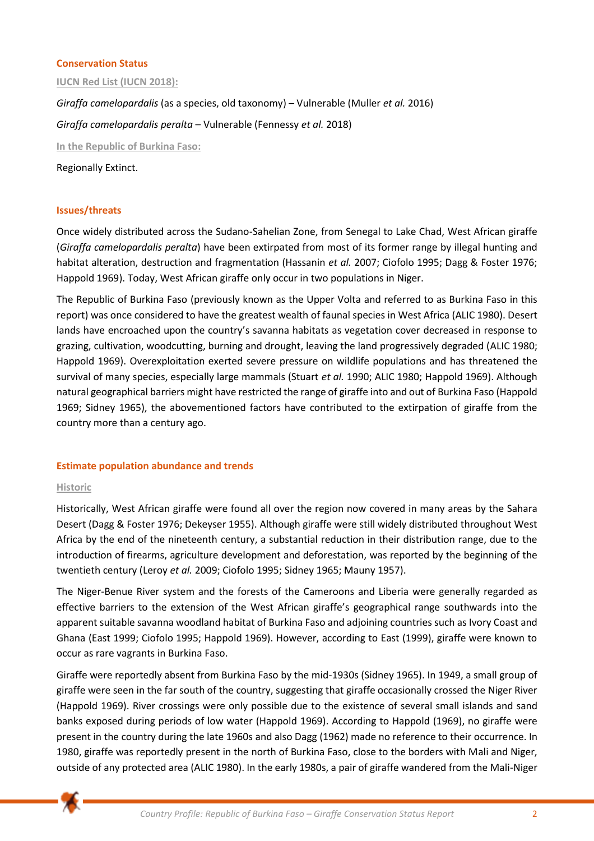#### **Conservation Status**

**IUCN Red List (IUCN 2018):**

*Giraffa camelopardalis* (as a species, old taxonomy) – Vulnerable (Muller *et al.* 2016) *Giraffa camelopardalis peralta* – Vulnerable (Fennessy *et al.* 2018) **In the Republic of Burkina Faso:**  Regionally Extinct.

## **Issues/threats**

Once widely distributed across the Sudano-Sahelian Zone, from Senegal to Lake Chad, West African giraffe (*Giraffa camelopardalis peralta*) have been extirpated from most of its former range by illegal hunting and habitat alteration, destruction and fragmentation (Hassanin *et al.* 2007; Ciofolo 1995; Dagg & Foster 1976; Happold 1969). Today, West African giraffe only occur in two populations in Niger.

The Republic of Burkina Faso (previously known as the Upper Volta and referred to as Burkina Faso in this report) was once considered to have the greatest wealth of faunal species in West Africa (ALIC 1980). Desert lands have encroached upon the country's savanna habitats as vegetation cover decreased in response to grazing, cultivation, woodcutting, burning and drought, leaving the land progressively degraded (ALIC 1980; Happold 1969). Overexploitation exerted severe pressure on wildlife populations and has threatened the survival of many species, especially large mammals (Stuart *et al.* 1990; ALIC 1980; Happold 1969). Although natural geographical barriers might have restricted the range of giraffe into and out of Burkina Faso (Happold 1969; Sidney 1965), the abovementioned factors have contributed to the extirpation of giraffe from the country more than a century ago.

#### **Estimate population abundance and trends**

#### **Historic**

Historically, West African giraffe were found all over the region now covered in many areas by the Sahara Desert (Dagg & Foster 1976; Dekeyser 1955). Although giraffe were still widely distributed throughout West Africa by the end of the nineteenth century, a substantial reduction in their distribution range, due to the introduction of firearms, agriculture development and deforestation, was reported by the beginning of the twentieth century (Leroy *et al.* 2009; Ciofolo 1995; Sidney 1965; Mauny 1957).

The Niger-Benue River system and the forests of the Cameroons and Liberia were generally regarded as effective barriers to the extension of the West African giraffe's geographical range southwards into the apparent suitable savanna woodland habitat of Burkina Faso and adjoining countries such as Ivory Coast and Ghana (East 1999; Ciofolo 1995; Happold 1969). However, according to East (1999), giraffe were known to occur as rare vagrants in Burkina Faso.

Giraffe were reportedly absent from Burkina Faso by the mid-1930s (Sidney 1965). In 1949, a small group of giraffe were seen in the far south of the country, suggesting that giraffe occasionally crossed the Niger River (Happold 1969). River crossings were only possible due to the existence of several small islands and sand banks exposed during periods of low water (Happold 1969). According to Happold (1969), no giraffe were present in the country during the late 1960s and also Dagg (1962) made no reference to their occurrence. In 1980, giraffe was reportedly present in the north of Burkina Faso, close to the borders with Mali and Niger, outside of any protected area (ALIC 1980). In the early 1980s, a pair of giraffe wandered from the Mali-Niger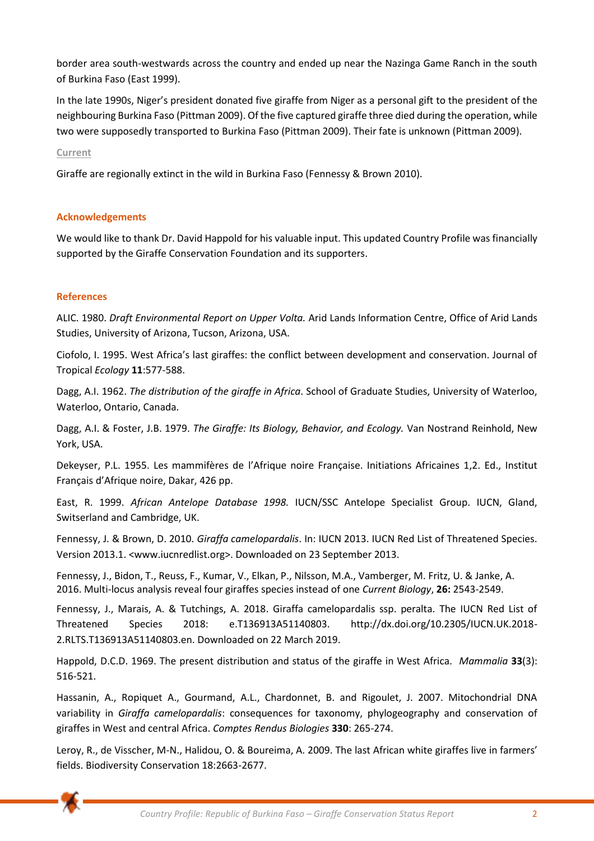border area south-westwards across the country and ended up near the Nazinga Game Ranch in the south of Burkina Faso (East 1999).

In the late 1990s, Niger's president donated five giraffe from Niger as a personal gift to the president of the neighbouring Burkina Faso (Pittman 2009). Of the five captured giraffe three died during the operation, while two were supposedly transported to Burkina Faso (Pittman 2009). Their fate is unknown (Pittman 2009).

#### **Current**

Giraffe are regionally extinct in the wild in Burkina Faso (Fennessy & Brown 2010).

#### **Acknowledgements**

We would like to thank Dr. David Happold for his valuable input. This updated Country Profile was financially supported by the Giraffe Conservation Foundation and its supporters.

## **References**

ALIC. 1980. *Draft Environmental Report on Upper Volta.* Arid Lands Information Centre, Office of Arid Lands Studies, University of Arizona, Tucson, Arizona, USA.

Ciofolo, I. 1995. West Africa's last giraffes: the conflict between development and conservation. Journal of Tropical *Ecology* **11**:577-588.

Dagg, A.I. 1962. *The distribution of the giraffe in Africa*. School of Graduate Studies, University of Waterloo, Waterloo, Ontario, Canada.

Dagg, A.I. & Foster, J.B. 1979. *The Giraffe: Its Biology, Behavior, and Ecology.* Van Nostrand Reinhold, New York, USA.

Dekeyser, P.L. 1955. Les mammifères de l'Afrique noire Française. Initiations Africaines 1,2. Ed., Institut Français d'Afrique noire, Dakar, 426 pp.

East, R. 1999. *African Antelope Database 1998.* IUCN/SSC Antelope Specialist Group. IUCN, Gland, Switserland and Cambridge, UK.

Fennessy, J. & Brown, D. 2010. *Giraffa camelopardalis*. In: IUCN 2013. IUCN Red List of Threatened Species. Version 2013.1. <www.iucnredlist.org>. Downloaded on 23 September 2013.

Fennessy, J., Bidon, T., Reuss, F., Kumar, V., Elkan, P., Nilsson, M.A., Vamberger, M. Fritz, U. & Janke, A. 2016. Multi-locus analysis reveal four giraffes species instead of one *Current Biology*, **26:** 2543-2549.

Fennessy, J., Marais, A. & Tutchings, A. 2018. Giraffa camelopardalis ssp. peralta. The IUCN Red List of Threatened Species 2018: e.T136913A51140803. http://dx.doi.org/10.2305/IUCN.UK.2018- 2.RLTS.T136913A51140803.en. Downloaded on 22 March 2019.

Happold, D.C.D. 1969. The present distribution and status of the giraffe in West Africa*. Mammalia* **33**(3): 516-521.

Hassanin, A., Ropiquet A., Gourmand, A.L., Chardonnet, B. and Rigoulet, J. 2007. Mitochondrial DNA variability in *Giraffa camelopardalis*: consequences for taxonomy, phylogeography and conservation of giraffes in West and central Africa. *Comptes Rendus Biologies* **330**: 265-274.

Leroy, R., de Visscher, M-N., Halidou, O. & Boureima, A. 2009. The last African white giraffes live in farmers' fields. Biodiversity Conservation 18:2663-2677.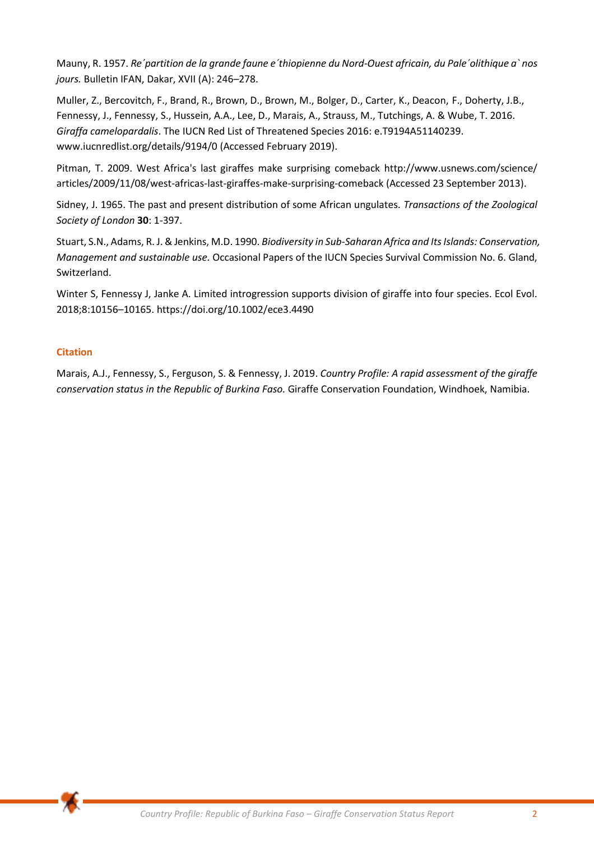Mauny, R. 1957. *Re´partition de la grande faune e´thiopienne du Nord-Ouest africain, du Pale´olithique a` nos jours.* Bulletin IFAN, Dakar, XVII (A): 246–278.

Muller, Z., Bercovitch, F., Brand, R., Brown, D., Brown, M., Bolger, D., Carter, K., Deacon, F., Doherty, J.B., Fennessy, J., Fennessy, S., Hussein, A.A., Lee, D., Marais, A., Strauss, M., Tutchings, A. & Wube, T. 2016. *Giraffa camelopardalis*. The IUCN Red List of Threatened Species 2016: e.T9194A51140239. www.iucnredlist.org/details/9194/0 (Accessed February 2019).

Pitman, T. 2009. West Africa's last giraffes make surprising comeback http://www.usnews.com/science/ articles/2009/11/08/west-africas-last-giraffes-make-surprising-comeback (Accessed 23 September 2013).

Sidney, J. 1965. The past and present distribution of some African ungulates. *Transactions of the Zoological Society of London* **30**: 1-397.

Stuart, S.N., Adams, R. J. & Jenkins, M.D. 1990. *Biodiversity in Sub-Saharan Africa and Its Islands: Conservation, Management and sustainable use.* Occasional Papers of the IUCN Species Survival Commission No. 6. Gland, Switzerland.

Winter S, Fennessy J, Janke A. Limited introgression supports division of giraffe into four species. Ecol Evol. 2018;8:10156–10165. https://doi.org/10.1002/ece3.4490

# **Citation**

Marais, A.J., Fennessy, S., Ferguson, S. & Fennessy, J. 2019. *Country Profile: A rapid assessment of the giraffe conservation status in the Republic of Burkina Faso.* Giraffe Conservation Foundation, Windhoek, Namibia.